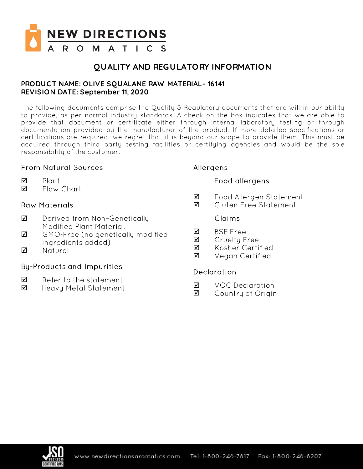

# **QUALITY AND REGULATORY INFORMATION**

## **PRODUC T NAME: OLIVE SQUALANE RAW MATERIAL– 16141 REVISION DATE: September 11, 2020**

The following documents comprise the Quality & Regulatory documents that are within our ability to provide, as per normal industry standards. A check on the box indicates that we are able to provide that document or certificate either through internal laboratory testing or through documentation provided by the manufacturer of the product. If more detailed specifications or certifications are required, we regret that it is beyond our scope to provide them. This must be acquired through third party testing facilities or certifying agencies and would be the sole responsibility of the customer.

## From Natural Sources

- ☑ Plant
- ☑ Flow Chart

## **Raw Materials**

- ☑ Derived from Non-Genetically Modified Plant Material.
- ☑ GMO-Free (no genetically modified ingredients added)
- ☑ Natural

## **By-Products and Impurities**

- ☑ Refer to the statement
- ☑ Heavy Metal Statement

### Allergens

## **Food allergens**

- Food Allergen Statement ☑
- Gluten Free Statement ☑

### Claims

- ☑ **BSE Free**
- ☑ Cruelty Free
- ☑ Kosher Certified
- Vegan Certified ☑

### **Declaration**

- **VOC Declaration** ☑
- ☑ Country of Origin

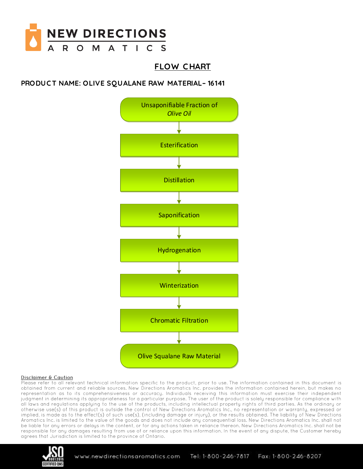

# **FLOW C HART**

## **PRODUC T NAME: OLIVE SQUALANE RAW MATERIAL– 16141**



### Disclaimer & Caution

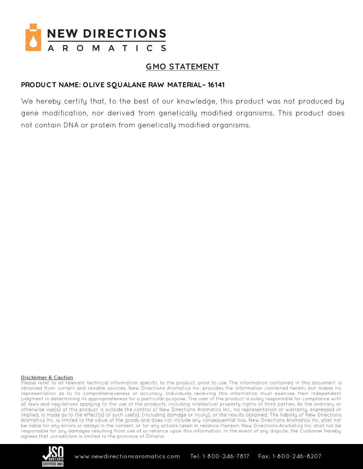

# **GMO STATEMENT**

## PRODUCT NAME: OLIVE SQUALANE RAW MATERIAL-16141

We hereby certify that, to the best of our knowledge, this product was not produced by gene modification, nor derived from genetically modified organisms. This product does not contain DNA or protein from genetically modified organisms.

### Disclaimer & Caution

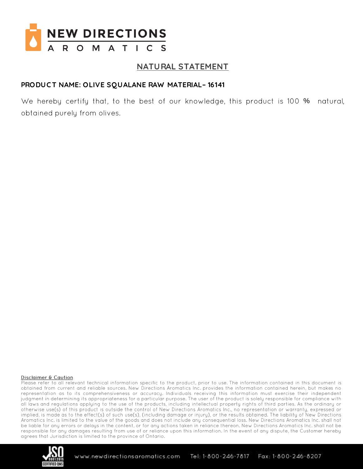

## NATURAL STATEMENT

### PRODUCT NAME: OLIVE SQUALANE RAW MATERIAL-16141

We hereby certify that, to the best of our knowledge, this product is 100 % natural, obtained purely from olives.

### Disclaimer & Caution

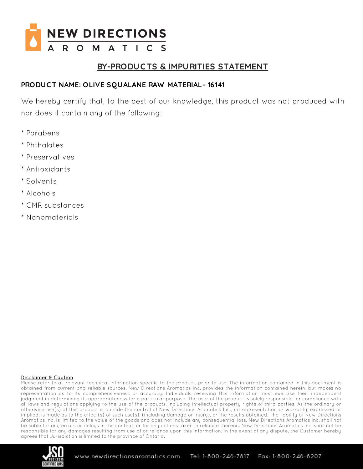

# BY-PRODUCTS & IMPURITIES STATEMENT

## PRODUCT NAME: OLIVE SQUALANE RAW MATERIAL-16141

We hereby certify that, to the best of our knowledge, this product was not produced with nor does it contain any of the following:

- \* Parabens
- \* Phthalates
- \* Preservatives
- \* Antioxidants
- \* Solvents
- \* Alcohols
- \* CMR substances
- \* Nanomaterials

### Disclaimer & Caution

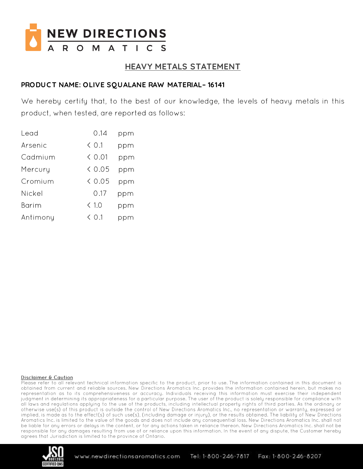

## **HEAVY METALS STATEMENT**

### PRODUCT NAME: OLIVE SQUALANE RAW MATERIAL-16141

We hereby certify that, to the best of our knowledge, the levels of heavy metals in this product, when tested, are reported as follows:

| Lead     | 0.14           | ppm |
|----------|----------------|-----|
| Arsenic  | $\langle$ 0.1  | ppm |
| Cadmium  | $\langle$ 0.01 | ppm |
| Mercury  | & 0.05         | ppm |
| Cromium  | & 0.05         | ppm |
| Nickel   | 0.17           | ppm |
| Barim    | < 1.0          | ppm |
| Antimony | $\langle$ 0.1  |     |

### Disclaimer & Caution

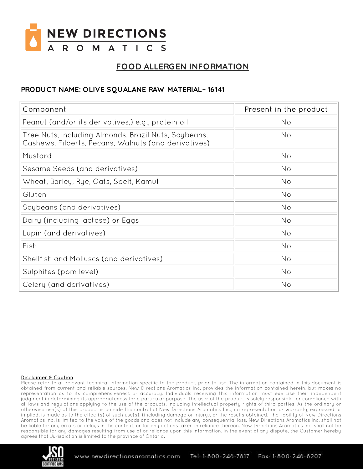

# FOOD ALLERGEN INFORMATION

## PRODUCT NAME: OLIVE SQUALANE RAW MATERIAL-16141

| Component                                                                                                    | Present in the product |
|--------------------------------------------------------------------------------------------------------------|------------------------|
| Peanut (and/or its derivatives,) e.g., protein oil                                                           | No                     |
| Tree Nuts, including Almonds, Brazil Nuts, Soybeans,<br>Cashews, Filberts, Pecans, Walnuts (and derivatives) | No                     |
| Mustard                                                                                                      | No                     |
| Sesame Seeds (and derivatives)                                                                               | No                     |
| Wheat, Barley, Rye, Oats, Spelt, Kamut                                                                       | No                     |
| Gluten                                                                                                       | No                     |
| Soybeans (and derivatives)                                                                                   | No                     |
| Dairy (including lactose) or Eggs                                                                            | No                     |
| Lupin (and derivatives)                                                                                      | No                     |
| Fish                                                                                                         | No                     |
| Shellfish and Molluscs (and derivatives)                                                                     | No                     |
| Sulphites (ppm level)                                                                                        | No                     |
| Celery (and derivatives)                                                                                     | No                     |

### Disclaimer & Caution

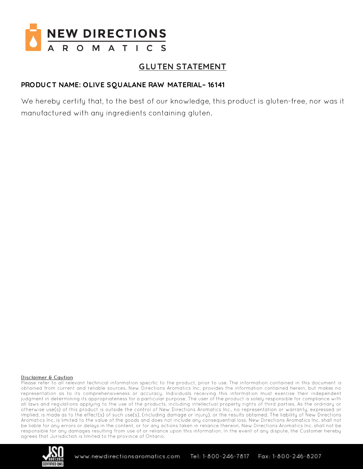

# **GLUTEN STATEMENT**

## PRODUCT NAME: OLIVE SQUALANE RAW MATERIAL-16141

We hereby certify that, to the best of our knowledge, this product is gluten-free, nor was it manufactured with any ingredients containing gluten.

### Disclaimer & Caution

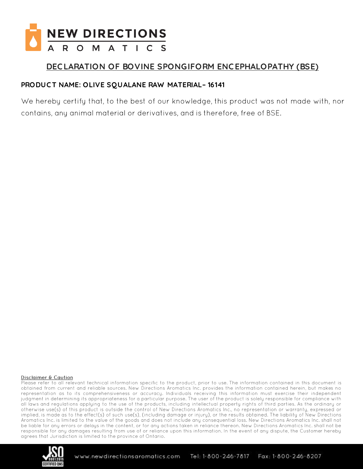

# DECLARATION OF BOVINE SPONGIFORM ENCEPHALOPATHY (BSE)

## PRODUCT NAME: OLIVE SQUALANE RAW MATERIAL-16141

We hereby certify that, to the best of our knowledge, this product was not made with, nor contains, any animal material or derivatives, and is therefore, free of BSE.

### Disclaimer & Caution

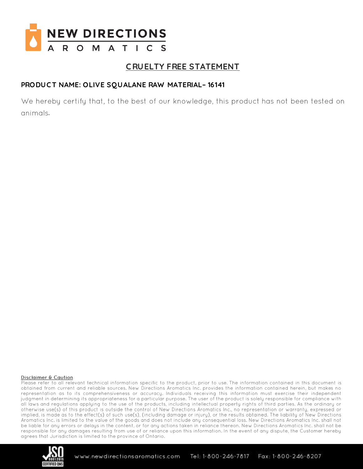

# **CRUELTY FREE STATEMENT**

## PRODUCT NAME: OLIVE SQUALANE RAW MATERIAL-16141

We hereby certify that, to the best of our knowledge, this product has not been tested on animals.

### Disclaimer & Caution

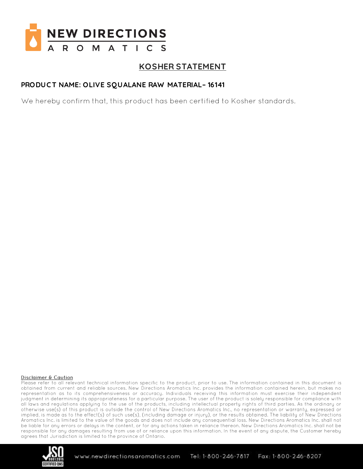

# **KOSHER STATEMENT**

## PRODUCT NAME: OLIVE SQUALANE RAW MATERIAL-16141

We hereby confirm that, this product has been certified to Kosher standards.

### Disclaimer & Caution

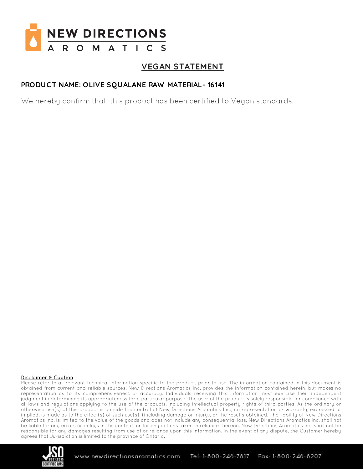

# **VEGAN STATEMENT**

## PRODUCT NAME: OLIVE SQUALANE RAW MATERIAL-16141

We hereby confirm that, this product has been certified to Vegan standards.

### Disclaimer & Caution

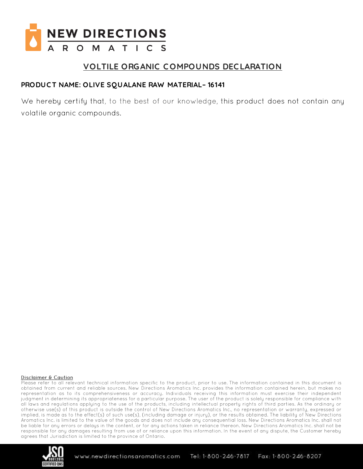

# **VOLTILE ORGANIC COMPOUNDS DECLARATION**

## PRODUCT NAME: OLIVE SQUALANE RAW MATERIAL-16141

We hereby certify that, to the best of our knowledge, this product does not contain any volatile organic compounds.

### Disclaimer & Caution